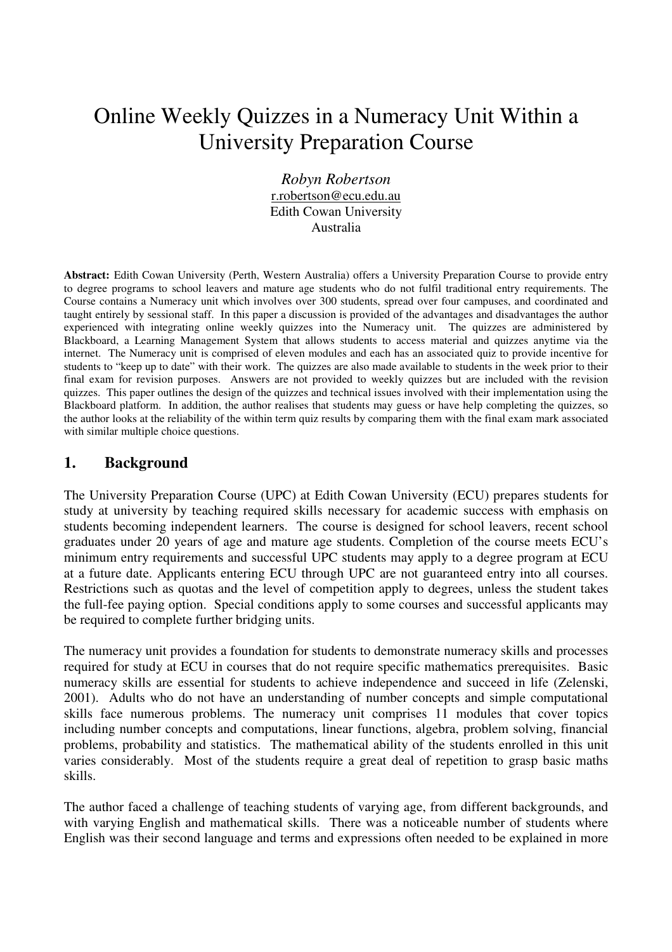# Online Weekly Quizzes in a Numeracy Unit Within a University Preparation Course

*Robyn Robertson*  r.robertson@ecu.edu.au Edith Cowan University Australia

**Abstract:** Edith Cowan University (Perth, Western Australia) offers a University Preparation Course to provide entry to degree programs to school leavers and mature age students who do not fulfil traditional entry requirements. The Course contains a Numeracy unit which involves over 300 students, spread over four campuses, and coordinated and taught entirely by sessional staff. In this paper a discussion is provided of the advantages and disadvantages the author experienced with integrating online weekly quizzes into the Numeracy unit. The quizzes are administered by Blackboard, a Learning Management System that allows students to access material and quizzes anytime via the internet. The Numeracy unit is comprised of eleven modules and each has an associated quiz to provide incentive for students to "keep up to date" with their work. The quizzes are also made available to students in the week prior to their final exam for revision purposes. Answers are not provided to weekly quizzes but are included with the revision quizzes. This paper outlines the design of the quizzes and technical issues involved with their implementation using the Blackboard platform. In addition, the author realises that students may guess or have help completing the quizzes, so the author looks at the reliability of the within term quiz results by comparing them with the final exam mark associated with similar multiple choice questions.

#### **1. Background**

The University Preparation Course (UPC) at Edith Cowan University (ECU) prepares students for study at university by teaching required skills necessary for academic success with emphasis on students becoming independent learners. The course is designed for school leavers, recent school graduates under 20 years of age and mature age students. Completion of the course meets ECU's minimum entry requirements and successful UPC students may apply to a degree program at ECU at a future date. Applicants entering ECU through UPC are not guaranteed entry into all courses. Restrictions such as quotas and the level of competition apply to degrees, unless the student takes the full-fee paying option. Special conditions apply to some courses and successful applicants may be required to complete further bridging units.

The numeracy unit provides a foundation for students to demonstrate numeracy skills and processes required for study at ECU in courses that do not require specific mathematics prerequisites. Basic numeracy skills are essential for students to achieve independence and succeed in life (Zelenski, 2001). Adults who do not have an understanding of number concepts and simple computational skills face numerous problems. The numeracy unit comprises 11 modules that cover topics including number concepts and computations, linear functions, algebra, problem solving, financial problems, probability and statistics. The mathematical ability of the students enrolled in this unit varies considerably. Most of the students require a great deal of repetition to grasp basic maths skills.

The author faced a challenge of teaching students of varying age, from different backgrounds, and with varying English and mathematical skills. There was a noticeable number of students where English was their second language and terms and expressions often needed to be explained in more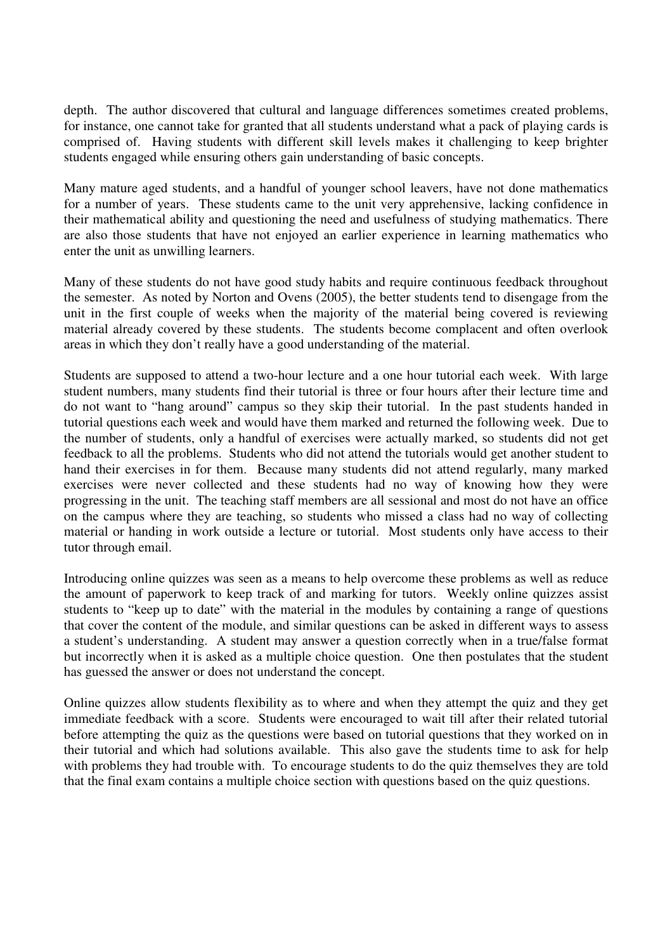depth. The author discovered that cultural and language differences sometimes created problems, for instance, one cannot take for granted that all students understand what a pack of playing cards is comprised of. Having students with different skill levels makes it challenging to keep brighter students engaged while ensuring others gain understanding of basic concepts.

Many mature aged students, and a handful of younger school leavers, have not done mathematics for a number of years. These students came to the unit very apprehensive, lacking confidence in their mathematical ability and questioning the need and usefulness of studying mathematics. There are also those students that have not enjoyed an earlier experience in learning mathematics who enter the unit as unwilling learners.

Many of these students do not have good study habits and require continuous feedback throughout the semester. As noted by Norton and Ovens (2005), the better students tend to disengage from the unit in the first couple of weeks when the majority of the material being covered is reviewing material already covered by these students. The students become complacent and often overlook areas in which they don't really have a good understanding of the material.

Students are supposed to attend a two-hour lecture and a one hour tutorial each week. With large student numbers, many students find their tutorial is three or four hours after their lecture time and do not want to "hang around" campus so they skip their tutorial. In the past students handed in tutorial questions each week and would have them marked and returned the following week. Due to the number of students, only a handful of exercises were actually marked, so students did not get feedback to all the problems. Students who did not attend the tutorials would get another student to hand their exercises in for them. Because many students did not attend regularly, many marked exercises were never collected and these students had no way of knowing how they were progressing in the unit. The teaching staff members are all sessional and most do not have an office on the campus where they are teaching, so students who missed a class had no way of collecting material or handing in work outside a lecture or tutorial. Most students only have access to their tutor through email.

Introducing online quizzes was seen as a means to help overcome these problems as well as reduce the amount of paperwork to keep track of and marking for tutors. Weekly online quizzes assist students to "keep up to date" with the material in the modules by containing a range of questions that cover the content of the module, and similar questions can be asked in different ways to assess a student's understanding. A student may answer a question correctly when in a true/false format but incorrectly when it is asked as a multiple choice question. One then postulates that the student has guessed the answer or does not understand the concept.

Online quizzes allow students flexibility as to where and when they attempt the quiz and they get immediate feedback with a score. Students were encouraged to wait till after their related tutorial before attempting the quiz as the questions were based on tutorial questions that they worked on in their tutorial and which had solutions available. This also gave the students time to ask for help with problems they had trouble with. To encourage students to do the quiz themselves they are told that the final exam contains a multiple choice section with questions based on the quiz questions.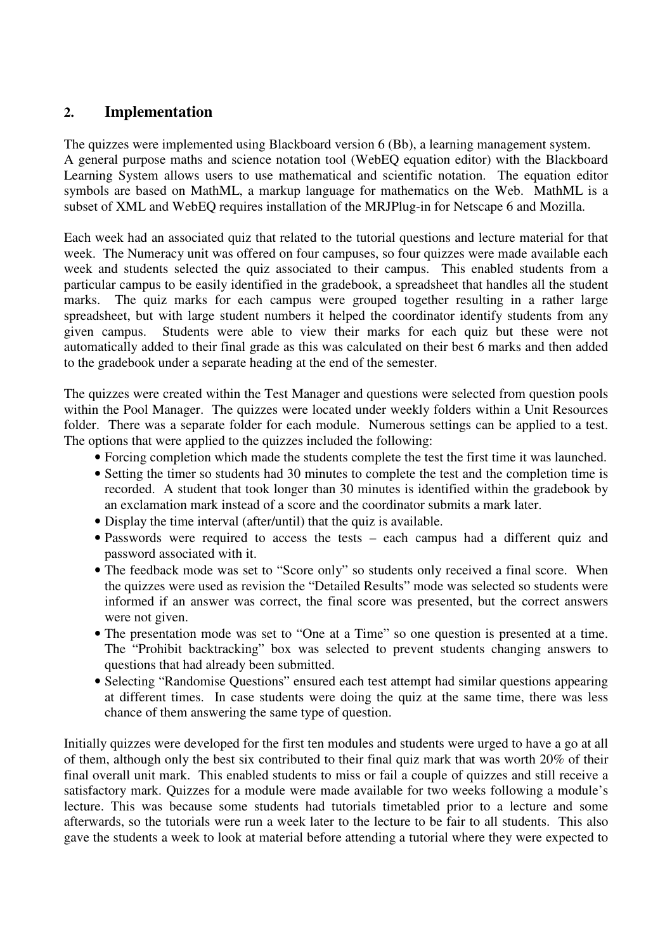#### **2. Implementation**

The quizzes were implemented using Blackboard version 6 (Bb), a learning management system. A general purpose maths and science notation tool (WebEQ equation editor) with the Blackboard Learning System allows users to use mathematical and scientific notation. The equation editor symbols are based on MathML, a markup language for mathematics on the Web. MathML is a subset of XML and WebEQ requires installation of the MRJPlug-in for Netscape 6 and Mozilla.

Each week had an associated quiz that related to the tutorial questions and lecture material for that week. The Numeracy unit was offered on four campuses, so four quizzes were made available each week and students selected the quiz associated to their campus. This enabled students from a particular campus to be easily identified in the gradebook, a spreadsheet that handles all the student marks. The quiz marks for each campus were grouped together resulting in a rather large spreadsheet, but with large student numbers it helped the coordinator identify students from any given campus. Students were able to view their marks for each quiz but these were not automatically added to their final grade as this was calculated on their best 6 marks and then added to the gradebook under a separate heading at the end of the semester.

The quizzes were created within the Test Manager and questions were selected from question pools within the Pool Manager. The quizzes were located under weekly folders within a Unit Resources folder. There was a separate folder for each module. Numerous settings can be applied to a test. The options that were applied to the quizzes included the following:

- Forcing completion which made the students complete the test the first time it was launched.
- Setting the timer so students had 30 minutes to complete the test and the completion time is recorded. A student that took longer than 30 minutes is identified within the gradebook by an exclamation mark instead of a score and the coordinator submits a mark later.
- Display the time interval (after/until) that the quiz is available.
- Passwords were required to access the tests each campus had a different quiz and password associated with it.
- The feedback mode was set to "Score only" so students only received a final score. When the quizzes were used as revision the "Detailed Results" mode was selected so students were informed if an answer was correct, the final score was presented, but the correct answers were not given.
- The presentation mode was set to "One at a Time" so one question is presented at a time. The "Prohibit backtracking" box was selected to prevent students changing answers to questions that had already been submitted.
- Selecting "Randomise Ouestions" ensured each test attempt had similar questions appearing at different times. In case students were doing the quiz at the same time, there was less chance of them answering the same type of question.

Initially quizzes were developed for the first ten modules and students were urged to have a go at all of them, although only the best six contributed to their final quiz mark that was worth 20% of their final overall unit mark. This enabled students to miss or fail a couple of quizzes and still receive a satisfactory mark. Quizzes for a module were made available for two weeks following a module's lecture. This was because some students had tutorials timetabled prior to a lecture and some afterwards, so the tutorials were run a week later to the lecture to be fair to all students. This also gave the students a week to look at material before attending a tutorial where they were expected to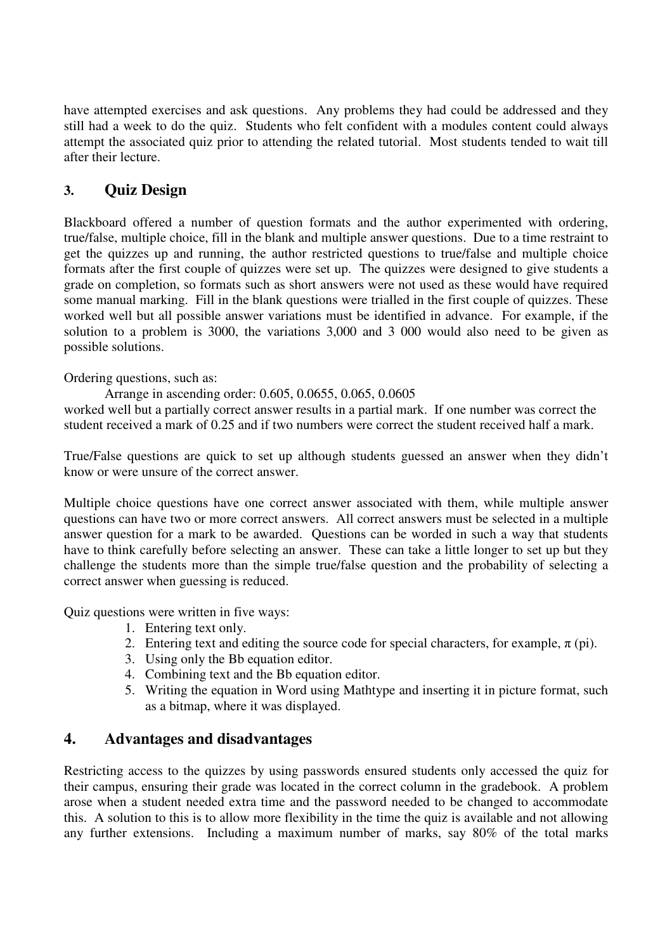have attempted exercises and ask questions. Any problems they had could be addressed and they still had a week to do the quiz. Students who felt confident with a modules content could always attempt the associated quiz prior to attending the related tutorial. Most students tended to wait till after their lecture.

# **3. Quiz Design**

Blackboard offered a number of question formats and the author experimented with ordering, true/false, multiple choice, fill in the blank and multiple answer questions. Due to a time restraint to get the quizzes up and running, the author restricted questions to true/false and multiple choice formats after the first couple of quizzes were set up. The quizzes were designed to give students a grade on completion, so formats such as short answers were not used as these would have required some manual marking. Fill in the blank questions were trialled in the first couple of quizzes. These worked well but all possible answer variations must be identified in advance. For example, if the solution to a problem is 3000, the variations 3,000 and 3 000 would also need to be given as possible solutions.

Ordering questions, such as:

Arrange in ascending order: 0.605, 0.0655, 0.065, 0.0605

worked well but a partially correct answer results in a partial mark. If one number was correct the student received a mark of 0.25 and if two numbers were correct the student received half a mark.

True/False questions are quick to set up although students guessed an answer when they didn't know or were unsure of the correct answer.

Multiple choice questions have one correct answer associated with them, while multiple answer questions can have two or more correct answers. All correct answers must be selected in a multiple answer question for a mark to be awarded. Questions can be worded in such a way that students have to think carefully before selecting an answer. These can take a little longer to set up but they challenge the students more than the simple true/false question and the probability of selecting a correct answer when guessing is reduced.

Quiz questions were written in five ways:

- 1. Entering text only.
- 2. Entering text and editing the source code for special characters, for example,  $\pi$  (pi).
- 3. Using only the Bb equation editor.
- 4. Combining text and the Bb equation editor.
- 5. Writing the equation in Word using Mathtype and inserting it in picture format, such as a bitmap, where it was displayed.

## **4. Advantages and disadvantages**

Restricting access to the quizzes by using passwords ensured students only accessed the quiz for their campus, ensuring their grade was located in the correct column in the gradebook. A problem arose when a student needed extra time and the password needed to be changed to accommodate this. A solution to this is to allow more flexibility in the time the quiz is available and not allowing any further extensions. Including a maximum number of marks, say 80% of the total marks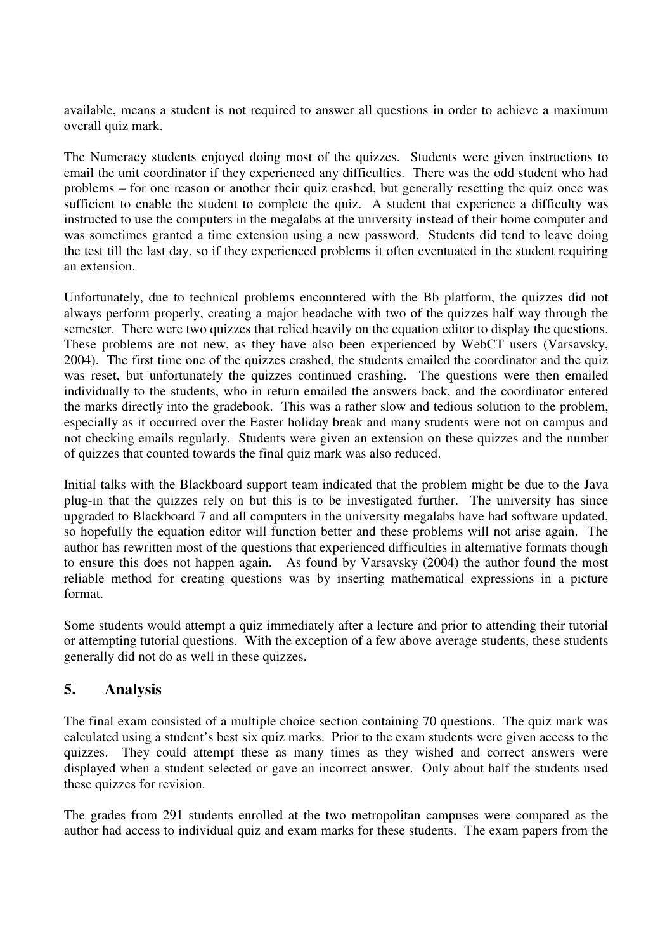available, means a student is not required to answer all questions in order to achieve a maximum overall quiz mark.

The Numeracy students enjoyed doing most of the quizzes. Students were given instructions to email the unit coordinator if they experienced any difficulties. There was the odd student who had problems – for one reason or another their quiz crashed, but generally resetting the quiz once was sufficient to enable the student to complete the quiz. A student that experience a difficulty was instructed to use the computers in the megalabs at the university instead of their home computer and was sometimes granted a time extension using a new password. Students did tend to leave doing the test till the last day, so if they experienced problems it often eventuated in the student requiring an extension.

Unfortunately, due to technical problems encountered with the Bb platform, the quizzes did not always perform properly, creating a major headache with two of the quizzes half way through the semester. There were two quizzes that relied heavily on the equation editor to display the questions. These problems are not new, as they have also been experienced by WebCT users (Varsavsky, 2004). The first time one of the quizzes crashed, the students emailed the coordinator and the quiz was reset, but unfortunately the quizzes continued crashing. The questions were then emailed individually to the students, who in return emailed the answers back, and the coordinator entered the marks directly into the gradebook. This was a rather slow and tedious solution to the problem, especially as it occurred over the Easter holiday break and many students were not on campus and not checking emails regularly. Students were given an extension on these quizzes and the number of quizzes that counted towards the final quiz mark was also reduced.

Initial talks with the Blackboard support team indicated that the problem might be due to the Java plug-in that the quizzes rely on but this is to be investigated further. The university has since upgraded to Blackboard 7 and all computers in the university megalabs have had software updated, so hopefully the equation editor will function better and these problems will not arise again. The author has rewritten most of the questions that experienced difficulties in alternative formats though to ensure this does not happen again. As found by Varsavsky (2004) the author found the most reliable method for creating questions was by inserting mathematical expressions in a picture format.

Some students would attempt a quiz immediately after a lecture and prior to attending their tutorial or attempting tutorial questions. With the exception of a few above average students, these students generally did not do as well in these quizzes.

## **5. Analysis**

The final exam consisted of a multiple choice section containing 70 questions. The quiz mark was calculated using a student's best six quiz marks. Prior to the exam students were given access to the quizzes. They could attempt these as many times as they wished and correct answers were displayed when a student selected or gave an incorrect answer. Only about half the students used these quizzes for revision.

The grades from 291 students enrolled at the two metropolitan campuses were compared as the author had access to individual quiz and exam marks for these students. The exam papers from the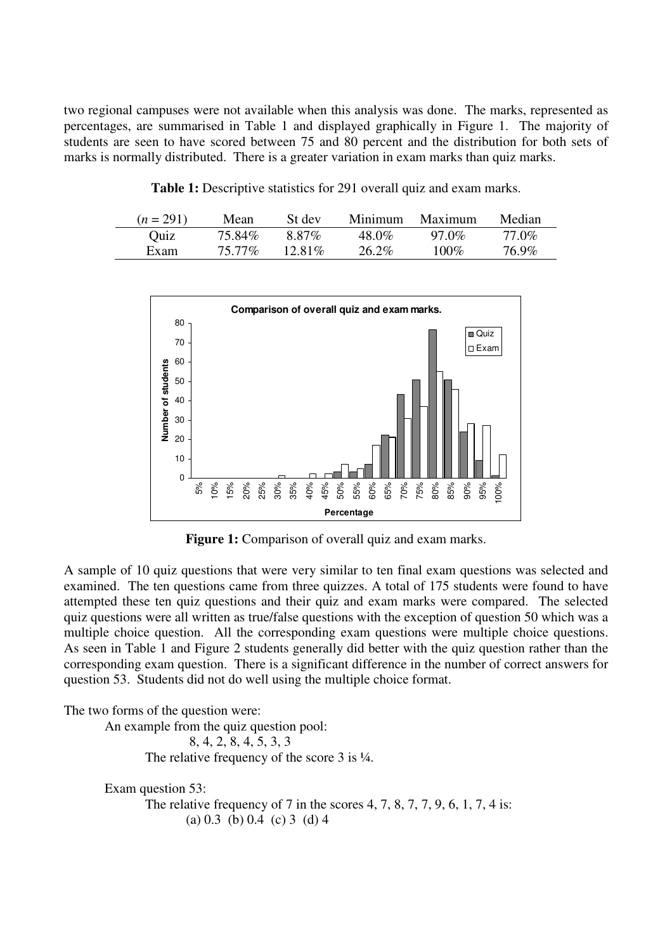two regional campuses were not available when this analysis was done. The marks, represented as percentages, are summarised in Table 1 and displayed graphically in Figure 1. The majority of students are seen to have scored between 75 and 80 percent and the distribution for both sets of marks is normally distributed. There is a greater variation in exam marks than quiz marks.

**Table 1:** Descriptive statistics for 291 overall quiz and exam marks.

| $(n = 291)$ | Mean   | St dev    | Minimum | Maximum  | Median |
|-------------|--------|-----------|---------|----------|--------|
| Ouiz        | 75.84% | 8.87%     | 48.0%   | $97.0\%$ | 77.0%  |
| Exam        | 75.77% | $12.81\%$ | 26.2%   | $100\%$  | 76.9%  |



**Figure 1:** Comparison of overall quiz and exam marks.

A sample of 10 quiz questions that were very similar to ten final exam questions was selected and examined. The ten questions came from three quizzes. A total of 175 students were found to have attempted these ten quiz questions and their quiz and exam marks were compared. The selected quiz questions were all written as true/false questions with the exception of question 50 which was a multiple choice question. All the corresponding exam questions were multiple choice questions. As seen in Table 1 and Figure 2 students generally did better with the quiz question rather than the corresponding exam question. There is a significant difference in the number of correct answers for question 53. Students did not do well using the multiple choice format.

The two forms of the question were:

An example from the quiz question pool: 8, 4, 2, 8, 4, 5, 3, 3 The relative frequency of the score 3 is  $\frac{1}{4}$ .

Exam question 53: The relative frequency of 7 in the scores  $4, 7, 8, 7, 7, 9, 6, 1, 7, 4$  is: (a) 0.3 (b) 0.4 (c) 3 (d) 4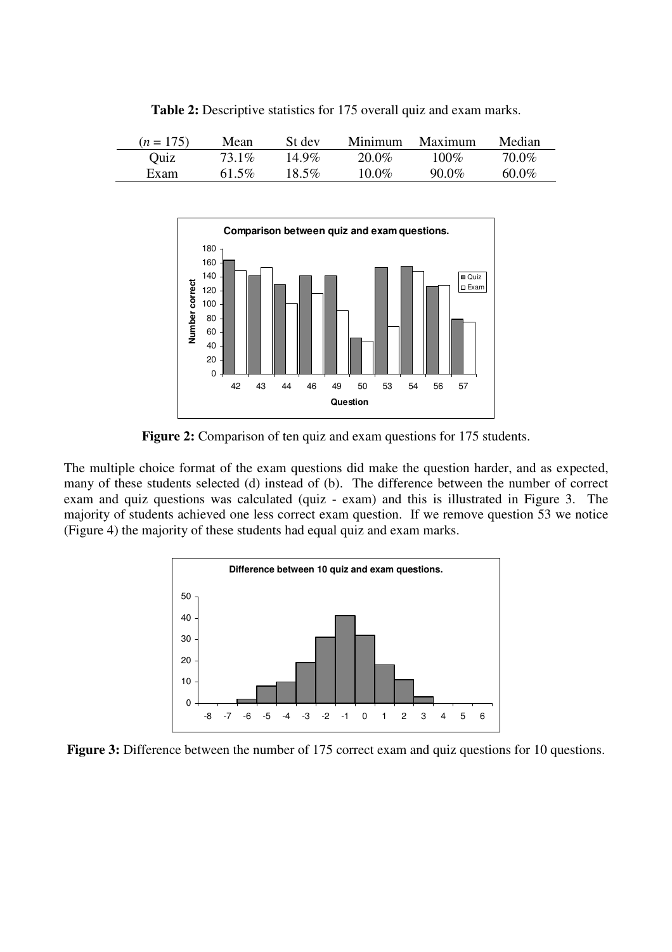| $(n = 175)$ | Mean  | St dev   | Minimum  | Maximum | Median   |
|-------------|-------|----------|----------|---------|----------|
| Quiz        | 73.1% | $14.9\%$ | 20.0%    | $100\%$ | 70.0%    |
| Exam        | 61.5% | 18.5%    | $10.0\%$ | 90.0%   | $60.0\%$ |

**Table 2:** Descriptive statistics for 175 overall quiz and exam marks.



Figure 2: Comparison of ten quiz and exam questions for 175 students.

The multiple choice format of the exam questions did make the question harder, and as expected, many of these students selected (d) instead of (b). The difference between the number of correct exam and quiz questions was calculated (quiz - exam) and this is illustrated in Figure 3. The majority of students achieved one less correct exam question. If we remove question 53 we notice (Figure 4) the majority of these students had equal quiz and exam marks.



**Figure 3:** Difference between the number of 175 correct exam and quiz questions for 10 questions.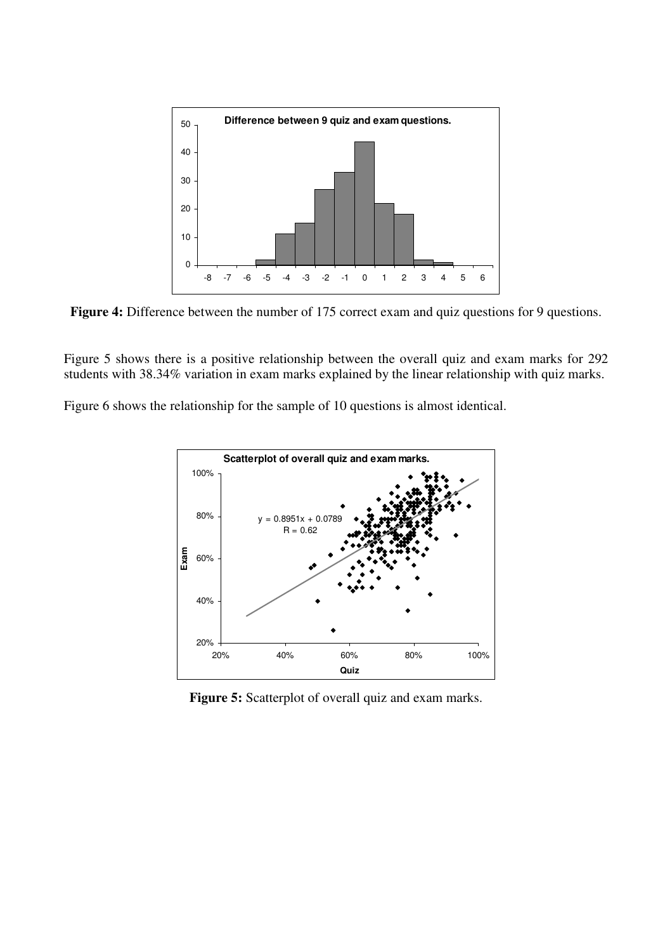

Figure 4: Difference between the number of 175 correct exam and quiz questions for 9 questions.

Figure 5 shows there is a positive relationship between the overall quiz and exam marks for 292 students with 38.34% variation in exam marks explained by the linear relationship with quiz marks.

Figure 6 shows the relationship for the sample of 10 questions is almost identical.



Figure 5: Scatterplot of overall quiz and exam marks.